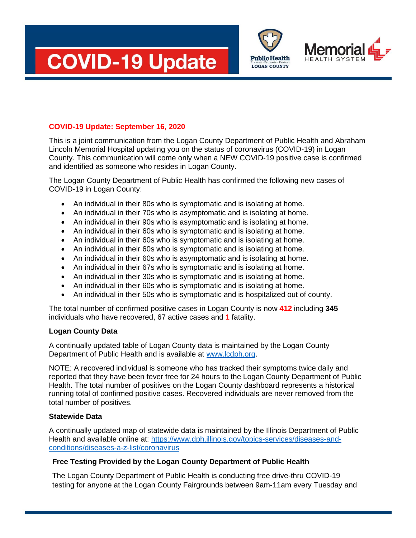





## **COVID-19 Update: September 16, 2020**

This is a joint communication from the Logan County Department of Public Health and Abraham Lincoln Memorial Hospital updating you on the status of coronavirus (COVID-19) in Logan County. This communication will come only when a NEW COVID-19 positive case is confirmed and identified as someone who resides in Logan County.

The Logan County Department of Public Health has confirmed the following new cases of COVID-19 in Logan County:

- An individual in their 80s who is symptomatic and is isolating at home.
- An individual in their 70s who is asymptomatic and is isolating at home.
- An individual in their 90s who is asymptomatic and is isolating at home.
- An individual in their 60s who is symptomatic and is isolating at home.
- An individual in their 60s who is symptomatic and is isolating at home.
- An individual in their 60s who is symptomatic and is isolating at home.
- An individual in their 60s who is asymptomatic and is isolating at home.
- An individual in their 67s who is symptomatic and is isolating at home.
- An individual in their 30s who is symptomatic and is isolating at home.
- An individual in their 60s who is symptomatic and is isolating at home.
- An individual in their 50s who is symptomatic and is hospitalized out of county.

The total number of confirmed positive cases in Logan County is now **412** including **345** individuals who have recovered, 67 active cases and 1 fatality.

## **Logan County Data**

A continually updated table of Logan County data is maintained by the Logan County Department of Public Health and is available at [www.lcdph.org.](http://www.lcdph.org/)

NOTE: A recovered individual is someone who has tracked their symptoms twice daily and reported that they have been fever free for 24 hours to the Logan County Department of Public Health. The total number of positives on the Logan County dashboard represents a historical running total of confirmed positive cases. Recovered individuals are never removed from the total number of positives.

## **Statewide Data**

A continually updated map of statewide data is maintained by the Illinois Department of Public Health and available online at: [https://www.dph.illinois.gov/topics-services/diseases-and](https://www.dph.illinois.gov/topics-services/diseases-and-conditions/diseases-a-z-list/coronavirus)[conditions/diseases-a-z-list/coronavirus](https://www.dph.illinois.gov/topics-services/diseases-and-conditions/diseases-a-z-list/coronavirus)

## **Free Testing Provided by the Logan County Department of Public Health**

The Logan County Department of Public Health is conducting free drive-thru COVID-19 testing for anyone at the Logan County Fairgrounds between 9am-11am every Tuesday and